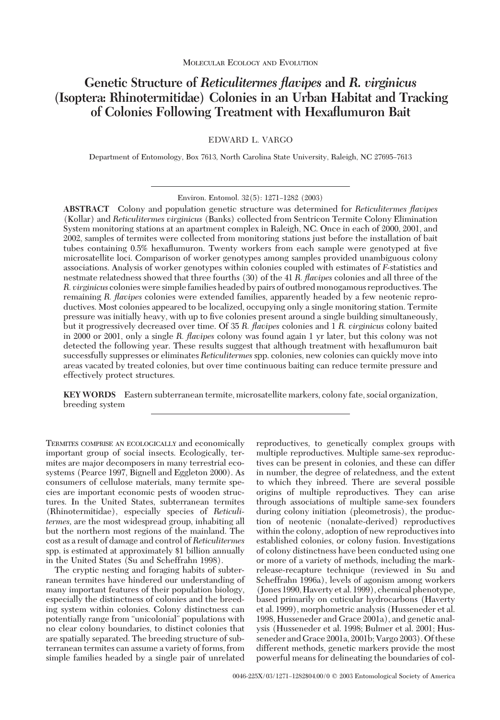# **Genetic Structure of** *Reticulitermes flavipes* **and** *R. virginicus* **(Isoptera: Rhinotermitidae) Colonies in an Urban Habitat and Tracking of Colonies Following Treatment with Hexaflumuron Bait**

EDWARD L. VARGO

Department of Entomology, Box 7613, North Carolina State University, Raleigh, NC 27695-7613

Environ. Entomol. 32(5): 1271-1282 (2003)

**ABSTRACT** Colony and population genetic structure was determined for *Reticulitermes flavipes* (Kollar) and *Reticulitermes virginicus* (Banks) collected from Sentricon Termite Colony Elimination System monitoring stations at an apartment complex in Raleigh, NC. Once in each of 2000, 2001, and 2002, samples of termites were collected from monitoring stations just before the installation of bait tubes containing 0.5% hexaflumuron. Twenty workers from each sample were genotyped at five microsatellite loci. Comparison of worker genotypes among samples provided unambiguous colony associations. Analysis of worker genotypes within colonies coupled with estimates of *F*-statistics and nestmate relatedness showed that three fourths (30) of the 41 *R. flavipes* colonies and all three of the *R. virginicus* colonies were simple families headed by pairs of outbred monogamous reproductives. The remaining *R. flavipes* colonies were extended families, apparently headed by a few neotenic reproductives. Most colonies appeared to be localized, occupying only a single monitoring station. Termite pressure was initially heavy, with up to five colonies present around a single building simultaneously, but it progressively decreased over time. Of 35 *R. flavipes* colonies and 1 *R. virginicus* colony baited in 2000 or 2001, only a single *R. flavipes* colony was found again 1 yr later, but this colony was not detected the following year. These results suggest that although treatment with hexaflumuron bait successfully suppresses or eliminates *Reticulitermes*spp. colonies, new colonies can quickly move into areas vacated by treated colonies, but over time continuous baiting can reduce termite pressure and effectively protect structures.

**KEYWORDS** Eastern subterranean termite, microsatellite markers, colony fate, social organization, breeding system

TERMITES COMPRISE AN ECOLOGICALLY and economically important group of social insects. Ecologically, termites are major decomposers in many terrestrial ecosystems (Pearce 1997, Bignell and Eggleton 2000). As consumers of cellulose materials, many termite species are important economic pests of wooden structures. In the United States, subterranean termites (Rhinotermitidae), especially species of *Reticulitermes,* are the most widespread group, inhabiting all but the northern most regions of the mainland. The cost as a result of damage and control of *Reticulitermes* spp. is estimated at approximately \$1 billion annually in the United States (Su and Scheffrahn 1998).

The cryptic nesting and foraging habits of subterranean termites have hindered our understanding of many important features of their population biology, especially the distinctness of colonies and the breeding system within colonies. Colony distinctness can potentially range from "unicolonial" populations with no clear colony boundaries, to distinct colonies that are spatially separated. The breeding structure of subterranean termites can assume a variety of forms, from simple families headed by a single pair of unrelated reproductives, to genetically complex groups with multiple reproductives. Multiple same-sex reproductives can be present in colonies, and these can differ in number, the degree of relatedness, and the extent to which they inbreed. There are several possible origins of multiple reproductives. They can arise through associations of multiple same-sex founders during colony initiation (pleometrosis), the production of neotenic (nonalate-derived) reproductives within the colony, adoption of new reproductives into established colonies, or colony fusion. Investigations of colony distinctness have been conducted using one or more of a variety of methods, including the markrelease-recapture technique (reviewed in Su and Scheffrahn 1996a), levels of agonism among workers (Jones 1990, Haverty et al. 1999), chemical phenotype, based primarily on cuticular hydrocarbons (Haverty et al. 1999), morphometric analysis (Husseneder et al. 1998, Husseneder and Grace 2001a), and genetic analysis (Husseneder et al. 1998; Bulmer et al. 2001; Husseneder and Grace 2001a, 2001b; Vargo 2003). Of these different methods, genetic markers provide the most powerful means for delineating the boundaries of col-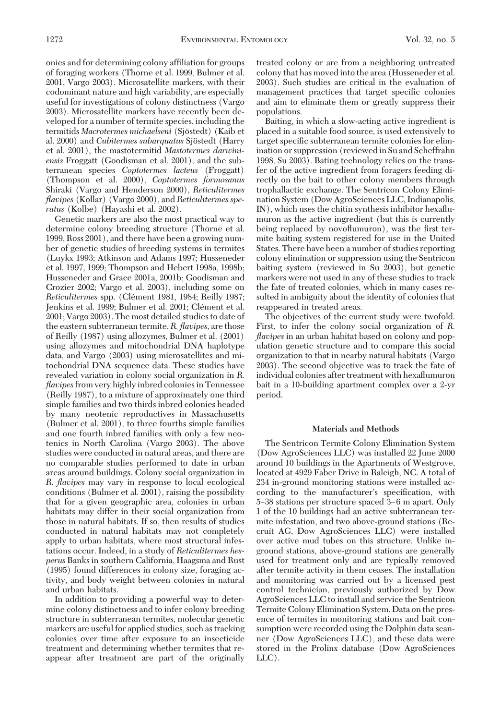onies and for determining colony affiliation for groups of foraging workers (Thorne et al. 1999, Bulmer et al. 2001, Vargo 2003). Microsatellite markers, with their codominant nature and high variability, are especially useful for investigations of colony distinctness (Vargo 2003). Microsatellite markers have recently been developed for a number of termite species, including the termitids Macrotermes michaelseni (Sjöstedt) (Kaib et al. 2000) and *Cubitermes subarquatus* Sjöstedt (Harry et al. 2001), the mastotermitid *Mastotermes darwiniensis* Froggatt (Goodisman et al. 2001), and the subterranean species *Coptotermes lacteus* (Froggatt) (Thompson et al. 2000), *Coptotermes formosanus* Shiraki (Vargo and Henderson 2000), *Reticulitermes flavipes* (Kollar) (Vargo 2000), and *Reticulitermes speratus* (Kolbe) (Hayashi et al. 2002).

Genetic markers are also the most practical way to determine colony breeding structure (Thorne et al. 1999, Ross 2001), and there have been a growing number of genetic studies of breeding systems in termites (Luykx 1993; Atkinson and Adams 1997; Husseneder et al. 1997, 1999; Thompson and Hebert 1998a, 1998b; Husseneder and Grace 2001a, 2001b; Goodisman and Crozier 2002; Vargo et al. 2003), including some on *Reticulitermes* spp. (Clément 1981, 1984; Reilly 1987; Jenkins et al. 1999; Bulmer et al. 2001; Clément et al. 2001; Vargo 2003). The most detailed studies to date of the eastern subterranean termite, *R. flavipes,* are those of Reilly (1987) using allozymes, Bulmer et al. (2001) using allozymes and mitochondrial DNA haplotype data, and Vargo (2003) using microsatellites and mitochondrial DNA sequence data. These studies have revealed variation in colony social organization in *R. flavipes*from very highly inbred colonies in Tennessee (Reilly 1987), to a mixture of approximately one third simple families and two thirds inbred colonies headed by many neotenic reproductives in Massachusetts (Bulmer et al. 2001), to three fourths simple families and one fourth inbred families with only a few neotenics in North Carolina (Vargo 2003). The above studies were conducted in natural areas, and there are no comparable studies performed to date in urban areas around buildings. Colony social organization in *R. flavipes* may vary in response to local ecological conditions (Bulmer et al. 2001), raising the possibility that for a given geographic area, colonies in urban habitats may differ in their social organization from those in natural habitats. If so, then results of studies conducted in natural habitats may not completely apply to urban habitats, where most structural infestations occur. Indeed, in a study of *Reticulitermes hesperus* Banks in southern California, Haagsma and Rust (1995) found differences in colony size, foraging activity, and body weight between colonies in natural and urban habitats.

In addition to providing a powerful way to determine colony distinctness and to infer colony breeding structure in subterranean termites, molecular genetic markers are useful for applied studies, such as tracking colonies over time after exposure to an insecticide treatment and determining whether termites that reappear after treatment are part of the originally

treated colony or are from a neighboring untreated colony that has moved into the area (Husseneder et al. 2003). Such studies are critical in the evaluation of management practices that target specific colonies and aim to eliminate them or greatly suppress their populations.

Baiting, in which a slow-acting active ingredient is placed in a suitable food source, is used extensively to target specific subterranean termite colonies for elimination or suppression (reviewed in Su and Scheffrahn 1998, Su 2003). Bating technology relies on the transfer of the active ingredient from foragers feeding directly on the bait to other colony members through trophallactic exchange. The Sentricon Colony Elimination System (Dow AgroSciences LLC, Indianapolis, IN), which uses the chitin synthesis inhibitor hexaßumuron as the active ingredient (but this is currently being replaced by novoflumuron), was the first termite baiting system registered for use in the United States. There have been a number of studies reporting colony elimination or suppression using the Sentricon baiting system (reviewed in Su 2003), but genetic markers were not used in any of these studies to track the fate of treated colonies, which in many cases resulted in ambiguity about the identity of colonies that reappeared in treated areas.

The objectives of the current study were twofold. First, to infer the colony social organization of *R. flavipes* in an urban habitat based on colony and population genetic structure and to compare this social organization to that in nearby natural habitats (Vargo 2003). The second objective was to track the fate of individual colonies after treatment with hexaflumuron bait in a 10-building apartment complex over a 2-yr period.

## **Materials and Methods**

The Sentricon Termite Colony Elimination System (Dow AgroSciences LLC) was installed 22 June 2000 around 10 buildings in the Apartments of Westgrove, located at 4929 Faber Drive in Raleigh, NC. A total of 234 in-ground monitoring stations were installed according to the manufacturer's specification, with 5Ð38 stations per structure spaced 3Ð 6m apart. Only 1 of the 10 buildings had an active subterranean termite infestation, and two above-ground stations (Recruit AG, Dow AgroSciences LLC) were installed over active mud tubes on this structure. Unlike inground stations, above-ground stations are generally used for treatment only and are typically removed after termite activity in them ceases. The installation and monitoring was carried out by a licensed pest control technician, previously authorized by Dow AgroSciences LLC to install and service the Sentricon Termite Colony Elimination System. Data on the presence of termites in monitoring stations and bait consumption were recorded using the Dolphin data scanner (Dow AgroSciences LLC), and these data were stored in the Prolinx database (Dow AgroSciences LLC).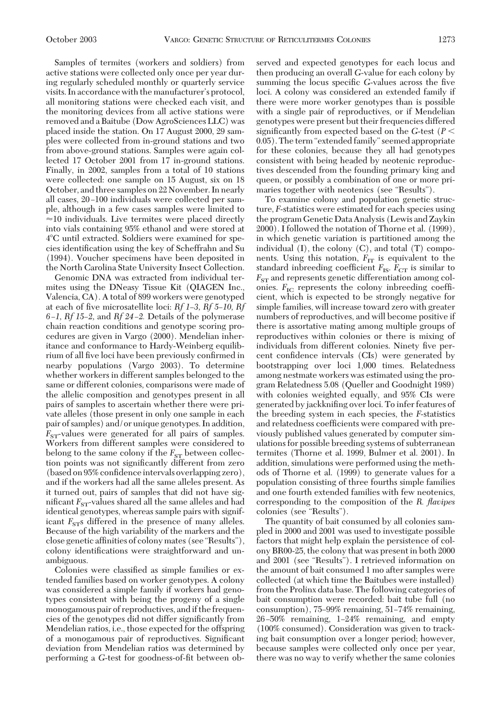Samples of termites (workers and soldiers) from active stations were collected only once per year during regularly scheduled monthly or quarterly service visits. In accordance with the manufacturer's protocol, all monitoring stations were checked each visit, and the monitoring devices from all active stations were removed and a Baitube (Dow AgroSciences LLC) was placed inside the station. On 17 August 2000, 29 samples were collected from in-ground stations and two from above-ground stations. Samples were again collected 17 October 2001 from 17 in-ground stations. Finally, in 2002, samples from a total of 10 stations were collected: one sample on 15 August, six on 18 October, and three samples on 22 November. In nearly all cases,  $20-100$  individuals were collected per sample, although in a few cases samples were limited to  $\approx$ 10 individuals. Live termites were placed directly into vials containing 95% ethanol and were stored at 4-C until extracted. Soldiers were examined for species identification using the key of Scheffrahn and Su (1994). Voucher specimens have been deposited in

the North Carolina State University Insect Collection. Genomic DNA was extracted from individual termites using the DNeasy Tissue Kit (QIAGEN Inc., Valencia, CA). A total of 899 workers were genotyped at each of Þve microsatellite loci: *Rf 1–3, Rf 5–10, Rf 6 –1, Rf 15–2,* and *Rf 24 –2.* Details of the polymerase chain reaction conditions and genotype scoring procedures are given in Vargo (2000). Mendelian inheritance and conformance to Hardy-Weinberg equilibrium of all five loci have been previously confirmed in nearby populations (Vargo 2003). To determine whether workers in different samples belonged to the same or different colonies, comparisons were made of the allelic composition and genotypes present in all pairs of samples to ascertain whether there were private alleles (those present in only one sample in each pair of samples) and/or unique genotypes. In addition,  $F_{ST}$ -values were generated for all pairs of samples. Workers from different samples were considered to belong to the same colony if the  $F_{ST}$  between collection points was not significantly different from zero (based on 95% confidence intervals overlapping zero), and if the workers had all the same alleles present. As it turned out, pairs of samples that did not have significant  $F_{ST}$ -values shared all the same alleles and had identical genotypes, whereas sample pairs with significant  $F_{ST}$ s differed in the presence of many alleles. Because of the high variability of the markers and the close genetic affinities of colony mates (see "Results"), colony identifications were straightforward and unambiguous.

Colonies were classified as simple families or extended families based on worker genotypes. A colony was considered a simple family if workers had genotypes consistent with being the progeny of a single monogamous pair of reproductives, and if the frequencies of the genotypes did not differ significantly from Mendelian ratios, i.e., those expected for the offspring of a monogamous pair of reproductives. Significant deviation from Mendelian ratios was determined by performing a *G*-test for goodness-of-fit between observed and expected genotypes for each locus and then producing an overall *G*-value for each colony by summing the locus specific *G*-values across the five loci. A colony was considered an extended family if there were more worker genotypes than is possible with a single pair of reproductives, or if Mendelian genotypes were present but their frequencies differed significantly from expected based on the *G*-test ( $P$  < 0.05). The term "extended family"seemed appropriate for these colonies, because they all had genotypes consistent with being headed by neotenic reproductives descended from the founding primary king and queen, or possibly a combination of one or more primaries together with neotenics (see "Results").

To examine colony and population genetic structure, *F*-statistics were estimated for each species using the program Genetic Data Analysis (Lewis and Zaykin 2000). I followed the notation of Thorne et al. (1999), in which genetic variation is partitioned among the individual  $(I)$ , the colony  $(C)$ , and total  $(T)$  components. Using this notation,  $F_{IT}$  is equivalent to the standard inbreeding coefficient  $F_{\text{IS}}$ .  $F_{\text{CT}}$  is similar to  $F_{ST}$  and represents genetic differentiation among colonies.  $F_{\text{IC}}$  represents the colony inbreeding coefficient, which is expected to be strongly negative for simple families, will increase toward zero with greater numbers of reproductives, and will become positive if there is assortative mating among multiple groups of reproductives within colonies or there is mixing of individuals from different colonies. Ninety five percent confidence intervals (CIs) were generated by bootstrapping over loci 1,000 times. Relatedness among nestmate workers was estimated using the program Relatedness 5.08 (Queller and Goodnight 1989) with colonies weighted equally, and 95% CIs were generated by jackknifing over loci. To infer features of the breeding system in each species, the *F*-statistics and relatedness coefficients were compared with previously published values generated by computer simulations for possible breeding systems of subterranean termites (Thorne et al. 1999, Bulmer et al. 2001). In addition, simulations were performed using the methods of Thorne et al. (1999) to generate values for a population consisting of three fourths simple families and one fourth extended families with few neotenics, corresponding to the composition of the *R. flavipes* colonies (see "Results").

The quantity of bait consumed by all colonies sampled in 2000 and 2001 was used to investigate possible factors that might help explain the persistence of colony BR00-25, the colony that was present in both 2000 and 2001 (see "Results"). I retrieved information on the amount of bait consumed 1 mo after samples were collected (at which time the Baitubes were installed) from the Prolinx data base. The following categories of bait consumption were recorded: bait tube full (no consumption), 75-99% remaining, 51-74% remaining, 26Ð50% remaining, 1Ð24% remaining, and empty (100% consumed). Consideration was given to tracking bait consumption over a longer period; however, because samples were collected only once per year, there was no way to verify whether the same colonies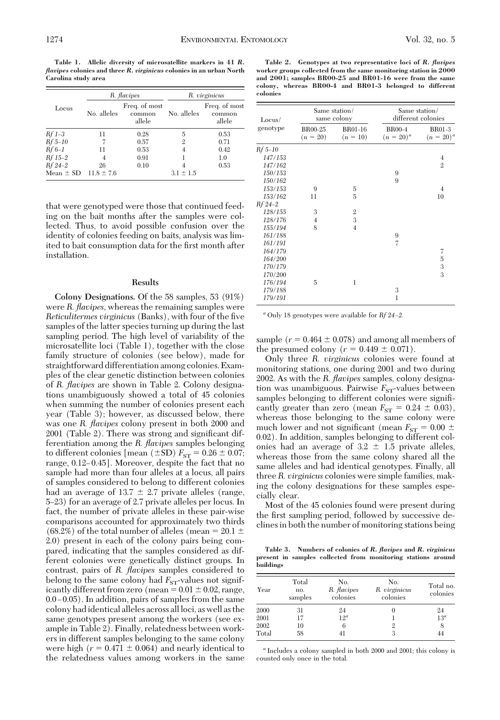**Table 1. Allelic diversity of microsatellite markers in 41** *R. flavipes* **colonies and three** *R. virginicus* **colonies in an urban North Carolina study area**

|                              | R. flavipes |                                   | R. virginicus |                                   |
|------------------------------|-------------|-----------------------------------|---------------|-----------------------------------|
| Locus                        | No. alleles | Freq. of most<br>common<br>allele | No. alleles   | Freq. of most<br>common<br>allele |
| $Rf1-3$                      | 11          | 0.28                              | 5             | 0.53                              |
| $Rf$ 5-10                    |             | 0.57                              | 2             | 0.71                              |
| $Rf6-1$                      | 11          | 0.53                              |               | 0.42                              |
| Rf 15-2                      |             | 0.91                              |               | 1.0                               |
| Rf 24-2                      | 26          | 0.10                              |               | 0.53                              |
| Mean $\pm$ SD 11.8 $\pm$ 7.6 |             |                                   | $3.1 \pm 1.5$ |                                   |

that were genotyped were those that continued feeding on the bait months after the samples were collected. Thus, to avoid possible confusion over the identity of colonies feeding on baits, analysis was limited to bait consumption data for the first month after installation.

### **Results**

**Colony Designations.** Of the 58 samples, 53 (91%) were *R. flavipes,* whereas the remaining samples were *Reticulitermes virginicus* (Banks), with four of the five samples of the latter species turning up during the last sampling period. The high level of variability of the microsatellite loci (Table 1), together with the close family structure of colonies (see below), made for straightforward differentiation among colonies. Examples of the clear genetic distinction between colonies of *R. flavipes* are shown in Table 2. Colony designations unambiguously showed a total of 45 colonies when summing the number of colonies present each year (Table 3); however, as discussed below, there was one *R. flavipes* colony present in both 2000 and 2001 (Table 2). There was strong and significant differentiation among the *R. flavipes* samples belonging to different colonies [mean ( $\pm$ SD)  $F_{ST} = 0.26 \pm 0.07$ ; range, 0.12–0.45]. Moreover, despite the fact that no sample had more than four alleles at a locus, all pairs of samples considered to belong to different colonies had an average of 13.7  $\pm$  2.7 private alleles (range, 5Ð23) for an average of 2.7 private alleles per locus. In fact, the number of private alleles in these pair-wise comparisons accounted for approximately two thirds (68.2%) of the total number of alleles (mean = 20.1  $\pm$ 2.0) present in each of the colony pairs being compared, indicating that the samples considered as different colonies were genetically distinct groups. In contrast, pairs of *R. flavipes* samples considered to belong to the same colony had  $F_{ST}$ -values not significantly different from zero (mean  $= 0.01 \pm 0.02$ , range,  $0.0 - 0.05$ . In addition, pairs of samples from the same colony hadidentical alleles across allloci, as well as the same genotypes present among the workers (see example in Table 2). Finally, relatedness between workers in different samples belonging to the same colony were high  $(r = 0.471 \pm 0.064)$  and nearly identical to the relatedness values among workers in the same

| Table 2. Genotypes at two representative loci of R. flavines         |  |  |  |
|----------------------------------------------------------------------|--|--|--|
| worker groups collected from the same monitoring station in $2000\,$ |  |  |  |
| and 2001; samples BR00-25 and BR01-16 were from the same             |  |  |  |
| colony, whereas BR00-4 and BR01-3 belonged to different<br>colonies  |  |  |  |

| Locus/    |                              | Same station/<br>same colony |                                 | Same station/<br>different colonies |
|-----------|------------------------------|------------------------------|---------------------------------|-------------------------------------|
| genotype  | <b>BR00-25</b><br>$(n = 20)$ | <b>BR01-16</b><br>$(n = 10)$ | <b>BR00-4</b><br>$(n = 20)^{a}$ | <b>BR01-3</b><br>$(n = 20)^{a}$     |
| $Rf$ 5-10 |                              |                              |                                 |                                     |
| 147/153   |                              |                              |                                 | $\overline{4}$                      |
| 147/162   |                              |                              |                                 | $\mathfrak{2}$                      |
| 150/153   |                              |                              | 9                               |                                     |
| 150/162   |                              |                              | 9                               |                                     |
| 153/153   | 9                            | 5                            |                                 | $\overline{4}$                      |
| 153/162   | 11                           | 5                            |                                 | 10                                  |
| Rf 24-2   |                              |                              |                                 |                                     |
| 128/155   | 3                            | $\mathbf{2}$                 |                                 |                                     |
| 128/176   | $\overline{4}$               | 3                            |                                 |                                     |
| 155/194   | 8                            | $\overline{4}$               |                                 |                                     |
| 161/188   |                              |                              | 9                               |                                     |
| 161/191   |                              |                              | $\overline{7}$                  |                                     |
| 164/179   |                              |                              |                                 | 7                                   |
| 164/200   |                              |                              |                                 | $\overline{5}$                      |
| 170/179   |                              |                              |                                 | 3                                   |
| 170/200   |                              |                              |                                 | 3                                   |
| 176/194   | 5                            | 1                            |                                 |                                     |
| 179/188   |                              |                              | 3                               |                                     |
| 179/191   |                              |                              | $\mathbf{1}$                    |                                     |

*<sup>a</sup>* Only 18 genotypes were available for *Rf 24 –2.*

sample  $(r = 0.464 \pm 0.078)$  and among all members of the presumed colony  $(r = 0.449 \pm 0.071)$ .

Only three *R. virginicus* colonies were found at monitoring stations, one during 2001 and two during 2002. As with the *R. flavipes* samples, colony designation was unambiguous. Pairwise  $F_{ST}$ -values between samples belonging to different colonies were signiÞcantly greater than zero (mean  $F_{ST} = 0.24 \pm 0.03$ ), whereas those belonging to the same colony were much lower and not significant (mean  $F_{ST} = 0.00 \pm$ 0.02). In addition, samples belonging to different colonies had an average of  $3.2 \pm 1.5$  private alleles, whereas those from the same colony shared all the same alleles and had identical genotypes. Finally, all three *R. virginicus* colonies were simple families, making the colony designations for these samples especially clear.

Most of the 45 colonies found were present during the first sampling period, followed by successive declines in both the number of monitoring stations being

**Table 3. Numbers of colonies of** *R. flavipes* **and** *R. virginicus* **present in samples collected from monitoring stations around buildings**

| Year  | Total<br>no.<br>samples | No.<br>R. flavipes<br>colonies | No.<br>R. virginicus<br>colonies | Total no.<br>colonies |
|-------|-------------------------|--------------------------------|----------------------------------|-----------------------|
| 2000  | 31                      | 24                             |                                  | 24                    |
| 2001  | 17                      | $12^a$                         |                                  | 13 <sup>a</sup>       |
| 2002  | 10                      | 6                              | 2                                | 8                     |
| Total | 58                      | 41                             | 3                                | 44                    |

*<sup>a</sup>* Includes a colony sampled in both 2000 and 2001; this colony is counted only once in the total.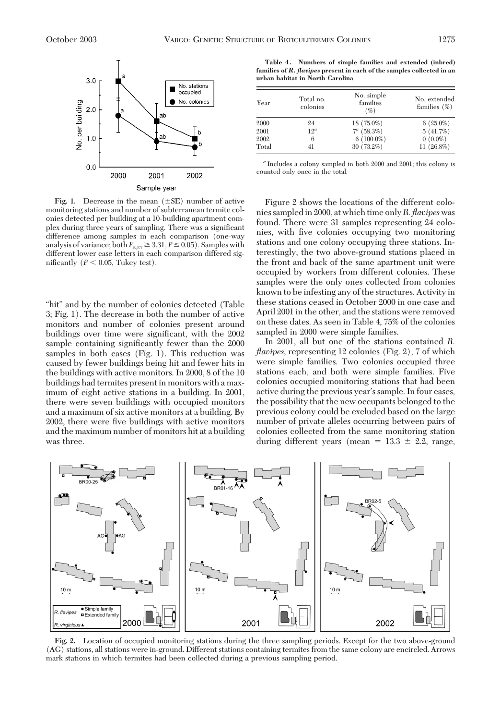

**Fig. 1.** Decrease in the mean  $(\pm SE)$  number of active monitoring stations and number of subterranean termite colonies detected per building at a 10-building apartment complex during three years of sampling. There was a significant difference among samples in each comparison (one-way analysis of variance; both  $F_{2,27} \geq 3.31$ ,  $P \leq 0.05$ ). Samples with different lower case letters in each comparison differed significantly  $(P < 0.05$ , Tukey test).

"hit" and by the number of colonies detected (Table 3; Fig. 1). The decrease in both the number of active monitors and number of colonies present around buildings over time were significant, with the 2002 sample containing significantly fewer than the 2000 samples in both cases (Fig. 1). This reduction was caused by fewer buildings being hit and fewer hits in the buildings with active monitors. In 2000, 8 of the 10 buildings had termites present in monitors with a maximum of eight active stations in a building. In 2001, there were seven buildings with occupied monitors and a maximum of six active monitors at a building. By 2002, there were five buildings with active monitors and the maximum number of monitors hit at a building was three.

**Table 4. Numbers of simple families and extended (inbred) families of** *R. flavipes* **present in each of the samples collected in an urban habitat in North Carolina**

| Year  | Total no.<br>colonies | No. simple<br>families<br>(%) | No. extended<br>families $(\%)$ |
|-------|-----------------------|-------------------------------|---------------------------------|
| 2000  | 24                    | 18 (75.0%)                    | $6(25.0\%)$                     |
| 2001  | 12 <sup>a</sup>       | $7^a$ (58.3%)                 | 5(41.7%)                        |
| 2002  | 6                     | $6(100.0\%)$                  | $0(0.0\%)$                      |
| Total | 41                    | 30 (73.2%)                    | $11(26.8\%)$                    |

*<sup>a</sup>* Includes a colony sampled in both 2000 and 2001; this colony is counted only once in the total.

Figure 2 shows the locations of the different colonies sampled in 2000, at which time only*R. flavipes*was found. There were 31 samples representing 24 colonies, with five colonies occupying two monitoring stations and one colony occupying three stations. Interestingly, the two above-ground stations placed in the front and back of the same apartment unit were occupied by workers from different colonies. These samples were the only ones collected from colonies known to be infesting any of the structures. Activity in these stations ceased in October 2000 in one case and April 2001 in the other, and the stations were removed on these dates. As seen in Table 4, 75% of the colonies sampled in 2000 were simple families.

In 2001, all but one of the stations contained *R. flavipes,* representing 12 colonies (Fig. 2), 7 of which were simple families. Two colonies occupied three stations each, and both were simple families. Five colonies occupied monitoring stations that had been active during the previous year's sample. In four cases, the possibility that the new occupants belonged to the previous colony could be excluded based on the large number of private alleles occurring between pairs of colonies collected from the same monitoring station during different years (mean  $= 13.3 \pm 2.2$ , range,



**Fig. 2.** Location of occupied monitoring stations during the three sampling periods. Except for the two above-ground (AG) stations, all stations were in-ground. Different stations containing termites from the same colony are encircled. Arrows mark stations in which termites had been collected during a previous sampling period.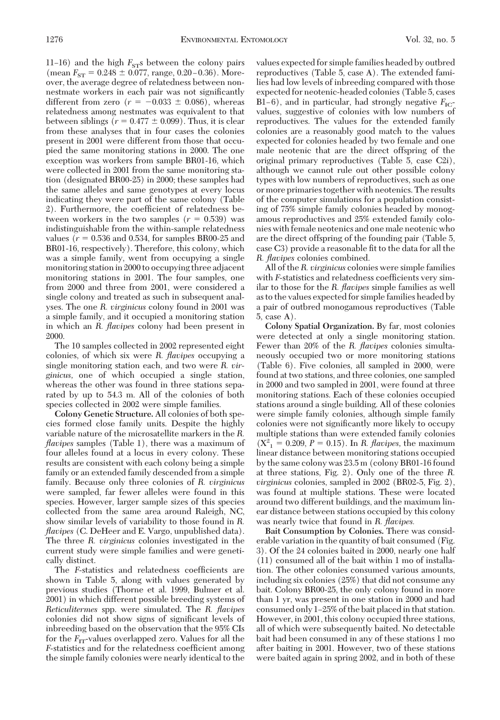11–16) and the high  $F_{ST}$ s between the colony pairs (mean  $F_{ST} = 0.248 \pm 0.077$ , range, 0.20-0.36). Moreover, the average degree of relatedness between nonnestmate workers in each pair was not significantly different from zero  $(r = -0.033 \pm 0.086)$ , whereas relatedness among nestmates was equivalent to that between siblings  $(r = 0.477 \pm 0.099)$ . Thus, it is clear from these analyses that in four cases the colonies present in 2001 were different from those that occupied the same monitoring stations in 2000. The one exception was workers from sample BR01-16, which were collected in 2001 from the same monitoring station (designated BR00-25) in 2000; these samples had the same alleles and same genotypes at every locus indicating they were part of the same colony (Table 2). Furthermore, the coefficient of relatedness between workers in the two samples  $(r = 0.539)$  was indistinguishable from the within-sample relatedness values  $(r = 0.536$  and 0.534, for samples BR00-25 and BR01-16, respectively). Therefore, this colony, which was a simple family, went from occupying a single monitoring station in 2000 to occupying three adjacent monitoring stations in 2001. The four samples, one from 2000 and three from 2001, were considered a single colony and treated as such in subsequent analyses. The one *R. virginicus* colony found in 2001 was a simple family, and it occupied a monitoring station in which an *R. flavipes* colony had been present in 2000.

The 10 samples collected in 2002 represented eight colonies, of which six were *R. flavipes* occupying a single monitoring station each, and two were *R. virginicus,* one of which occupied a single station, whereas the other was found in three stations separated by up to 54.3 m. All of the colonies of both species collected in 2002 were simple families.

**Colony Genetic Structure.** All colonies of both species formed close family units. Despite the highly variable nature of the microsatellite markers in the *R. flavipes* samples (Table 1), there was a maximum of four alleles found at a locus in every colony. These results are consistent with each colony being a simple family or an extended family descended from a simple family. Because only three colonies of *R. virginicus* were sampled, far fewer alleles were found in this species. However, larger sample sizes of this species collected from the same area around Raleigh, NC, show similar levels of variability to those found in *R. flavipes* (C. DeHeer and E. Vargo, unpublished data). The three *R. virginicus* colonies investigated in the current study were simple families and were genetically distinct.

The *F*-statistics and relatedness coefficients are shown in Table 5, along with values generated by previous studies (Thorne et al. 1999, Bulmer et al. 2001) in which different possible breeding systems of *Reticulitermes* spp. were simulated. The *R. flavipes* colonies did not show signs of significant levels of inbreeding based on the observation that the 95% CIs for the *F*<sub>IT</sub>-values overlapped zero. Values for all the *F*-statistics and for the relatedness coefficient among the simple family colonies were nearly identical to the

values expected for simple families headed by outbred reproductives (Table 5, case A). The extended families had low levels of inbreeding compared with those expected for neotenic-headed colonies (Table 5, cases B1–6), and in particular, had strongly negative  $F_{\text{IC}}$ values, suggestive of colonies with low numbers of reproductives. The values for the extended family colonies are a reasonably good match to the values expected for colonies headed by two female and one male neotenic that are the direct offspring of the original primary reproductives (Table 5, case C2i), although we cannot rule out other possible colony types with low numbers of reproductives, such as one or more primaries together with neotenics. The results of the computer simulations for a population consisting of 75% simple family colonies headed by monogamous reproductives and 25% extended family colonies with female neotenics and one male neotenic who are the direct offspring of the founding pair (Table 5, case C3) provide a reasonable fit to the data for all the *R. flavipes* colonies combined.

All of the *R. virginicus* colonies were simple families with *F*-statistics and relatedness coefficients very similar to those for the *R. flavipes* simple families as well as to the values expected for simple families headed by a pair of outbred monogamous reproductives (Table 5, case A).

**Colony Spatial Organization.** By far, most colonies were detected at only a single monitoring station. Fewer than 20% of the *R. flavipes* colonies simultaneously occupied two or more monitoring stations (Table 6). Five colonies, all sampled in 2000, were found at two stations, and three colonies, one sampled in 2000 and two sampled in 2001, were found at three monitoring stations. Each of these colonies occupied stations around a single building. All of these colonies were simple family colonies, although simple family colonies were not significantly more likely to occupy multiple stations than were extended family colonies  $(X^2_{1} = 0.209, P = 0.15)$ . In *R. flavipes*, the maximum linear distance between monitoring stations occupied by the same colony was 23.5 m (colony BR01-16 found at three stations, Fig. 2). Only one of the three *R. virginicus* colonies, sampled in 2002 (BR02-5, Fig. 2), was found at multiple stations. These were located around two different buildings, and the maximum linear distance between stations occupied by this colony was nearly twice that found in *R. flavipes.*

**Bait Consumption by Colonies.** There was considerable variation in the quantity of bait consumed (Fig. 3). Of the 24 colonies baited in 2000, nearly one half (11) consumed all of the bait within 1 mo of installation. The other colonies consumed various amounts, including six colonies (25%) that did not consume any bait. Colony BR00-25, the only colony found in more than 1 yr, was present in one station in 2000 and had consumed only 1–25% of the bait placed in that station. However, in 2001, this colony occupied three stations, all of which were subsequently baited. No detectable bait had been consumed in any of these stations 1 mo after baiting in 2001. However, two of these stations were baited again in spring 2002, and in both of these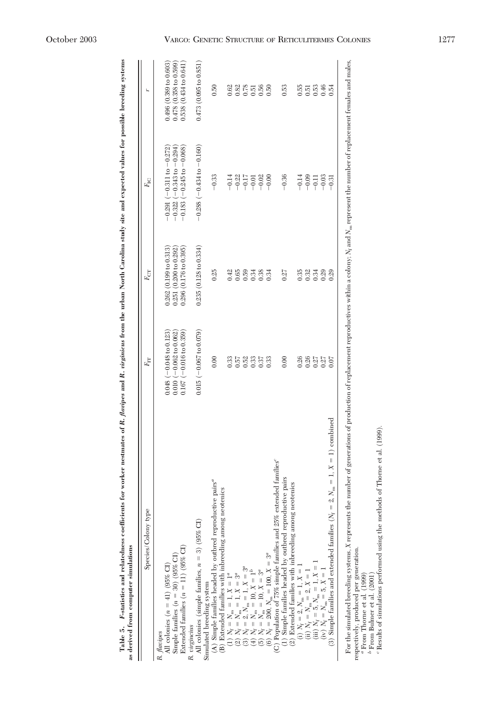| Species/Colony type                                                                                                                                                                                                                                                                                  | $F_{\rm IT}$              | $F_{\rm CT}$             | $F_{\rm IC}$                      | r                     |
|------------------------------------------------------------------------------------------------------------------------------------------------------------------------------------------------------------------------------------------------------------------------------------------------------|---------------------------|--------------------------|-----------------------------------|-----------------------|
| R. flavipes                                                                                                                                                                                                                                                                                          |                           |                          |                                   |                       |
| Il colonies $(n = 41)$ (95% CI)                                                                                                                                                                                                                                                                      | $0.048$ (-0.048 to 0.123) | 0.262(0.199 to 0.313)    | $-0.291(-0.311 to -0.272$         | 0.496(0.389 to 0.603) |
| Simple families $(n = 30)$ (95% CI)                                                                                                                                                                                                                                                                  | $0.010 (-0.062 to 0.062$  | $0.251$ (0.200 to 0.292) | $-0.322(-0.343$ to $-0.294$       | 0.478(0.358 to 0.599) |
| Extended families $(n = 11)$ (95% $CI$ )                                                                                                                                                                                                                                                             | $0.167$ (-0.016 to 0.359) | 0.296(0.176 to 0.395)    | $-0.183 (-0.245 to -0.068)$       | 0.538(0.434 to 0.641) |
| R. virgincius                                                                                                                                                                                                                                                                                        |                           |                          |                                   |                       |
| Il colonies (simple families, $n = 3$ ) (95% CI)                                                                                                                                                                                                                                                     | $0.015 (-0.067 to 0.079)$ | 0.235(0.128 to 0.334)    | $-0.288$ ( $-0.434$ to $-0.160$ ) | 0.473(0.095 to 0.851) |
|                                                                                                                                                                                                                                                                                                      |                           |                          |                                   |                       |
| Simulated breeding system<br>(A) Simple families headed by outbred reproductive pairs<br>"                                                                                                                                                                                                           | 0.00                      | 0.25                     | $-0.33$                           | 0.50                  |
| B) Extended families with inbreeding among neotenics                                                                                                                                                                                                                                                 |                           |                          |                                   |                       |
|                                                                                                                                                                                                                                                                                                      | 0.33                      | 0.42                     | $-0.14$                           | 0.62                  |
|                                                                                                                                                                                                                                                                                                      | 0.57                      |                          |                                   |                       |
|                                                                                                                                                                                                                                                                                                      | 0.52                      | 0.59                     | $-0.22$<br>$-0.17$                | 0.82                  |
|                                                                                                                                                                                                                                                                                                      | 0.33                      | 0.34                     | $-0.01$                           | 0.51                  |
|                                                                                                                                                                                                                                                                                                      | 0.37                      | 0.38                     | $-0.02$                           | 0.56                  |
|                                                                                                                                                                                                                                                                                                      | 0.33                      | 0.34                     | $-0.00$                           | 0.50                  |
| led families <sup>c</sup><br>(1) $N_f = N_m = 1, X = 1^a$<br>(2) $N_f = N_m = 1, X = 3^a$<br>(3) $N_f = 2, N_m = 1, X = 3^a$<br>(4) $N_f = 2, N_m = 10, X = 3^a$<br>(5) $N_f = N_m = 10, X = 3^a$<br>(6) $N_f = 200, N_m = 100, X = 3^a$<br>(C) Population of 75% simple families and 25% extended f |                           |                          |                                   |                       |
|                                                                                                                                                                                                                                                                                                      | 0.00                      | 0.27                     | $-0.36$                           | 0.53                  |
| (1) Simple families headed by outbred reproductive pairs $\left( 2\right)$ Extended families with inbreeding among neotenics                                                                                                                                                                         |                           |                          |                                   |                       |
|                                                                                                                                                                                                                                                                                                      | 0.26                      | 0.35                     | $-0.14$                           | 0.55                  |
|                                                                                                                                                                                                                                                                                                      | 0.26                      | 0.32                     | $-0.09$                           | 0.51                  |
|                                                                                                                                                                                                                                                                                                      | 0.27                      | 0.34                     | $-0.11$                           | 0.53                  |
| (i) $N_f = 2$ , $N_m = 1$ , $X = 1$<br>(ii) $N_f = N_m = 2$ , $X = 1$<br>(iii) $N_f = 5$ , $N_m = 1$ , $X = 1$<br>(iv) $N_f = N_m = 5$ , $X = 1$                                                                                                                                                     | 0.27                      | 0.29                     | $-0.03$                           | 0.46                  |
| (3) Simple families and extended families ( $N_f = 2$ , $N_m = 1$ , $X = 1$ ) combined                                                                                                                                                                                                               | 0.07                      | 0.29                     | $-0.31$                           | 0.54                  |

Table 5. F-statistics and relatedness coefficients for worker nestmates of R. flaripes and R. virginicus from the urban North Carolina study site and expected values for possible breeding systems *flavipes* and R. *virginicus* from the urban North Carolina study site and expected values for possible breeding systems **Table 5.** *F***-statistics and relatedness coefficients for worker nestmates of** *R.* Table 5. F-statistics and relatednes<br>as derived from computer simulations **as derived from computer simulations**

For the simulated breeding systems, *X* represents the number of generations of production of replacement reproductives within a colony;  $N_{\rm f}$  and *N*m represent the number of replacement females and males, respectively, produced per generation. *a* From Thorne et al. (1999)

*bc* From Bulmer et al. (2001) Results of simulations performed using the methods of Thorne et al. (1999).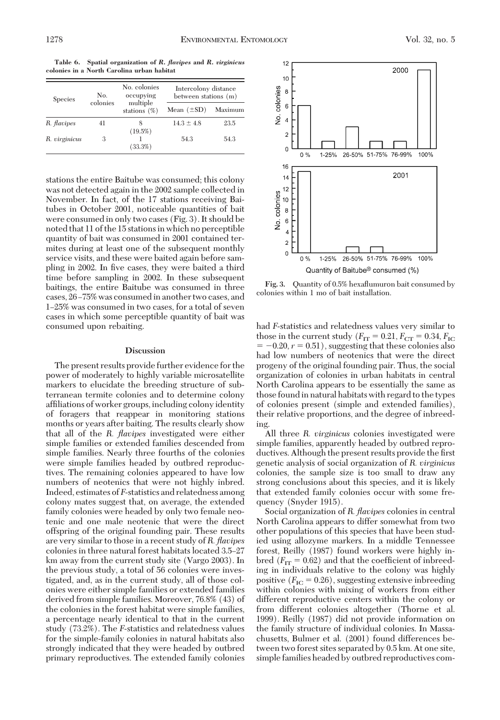**Table 6. Spatial organization of** *R. flavipes* **and** *R. virginicus* **colonies in a North Carolina urban habitat**

| <b>Species</b> | No.      | No. colonies<br>occupying   | Intercolony distance<br>between stations (m) |         |
|----------------|----------|-----------------------------|----------------------------------------------|---------|
|                | colonies | multiple<br>stations $(\%)$ | Mean $(\pm SD)$                              | Maximum |
| R. flavipes    | 41       | $(19.5\%)$                  | $14.3 \pm 4.8$                               | 23.5    |
| R. virginicus  | З        | $(33.3\%)$                  | 54.3                                         | 54.3    |

stations the entire Baitube was consumed; this colony was not detected again in the 2002 sample collected in November. In fact, of the 17 stations receiving Baitubes in October 2001, noticeable quantities of bait were consumed in only two cases (Fig. 3). It should be noted that 11 of the 15 stations in which no perceptible quantity of bait was consumed in 2001 contained termites during at least one of the subsequent monthly service visits, and these were baited again before sampling in 2002. In five cases, they were baited a third time before sampling in 2002. In these subsequent baitings, the entire Baitube was consumed in three cases, 26–75% was consumed in another two cases, and 1–25% was consumed in two cases, for a total of seven cases in which some perceptible quantity of bait was consumed upon rebaiting.

#### **Discussion**

The present results provide further evidence for the power of moderately to highly variable microsatellite markers to elucidate the breeding structure of subterranean termite colonies and to determine colony affiliations of worker groups, including colony identity of foragers that reappear in monitoring stations months or years after baiting. The results clearly show that all of the *R. flavipes* investigated were either simple families or extended families descended from simple families. Nearly three fourths of the colonies were simple families headed by outbred reproductives. The remaining colonies appeared to have low numbers of neotenics that were not highly inbred. Indeed, estimates of *F*-statistics and relatedness among colony mates suggest that, on average, the extended family colonies were headed by only two female neotenic and one male neotenic that were the direct offspring of the original founding pair. These results are very similar to those in a recent study of *R. flavipes* colonies in three natural forest habitats located 3.5–27 km away from the current study site (Vargo 2003). In the previous study, a total of 56 colonies were investigated, and, as in the current study, all of those colonies were either simple families or extended families derived from simple families. Moreover, 76.8% (43) of the colonies in the forest habitat were simple families, a percentage nearly identical to that in the current study (73.2%). The *F*-statistics and relatedness values for the simple-family colonies in natural habitats also strongly indicated that they were headed by outbred primary reproductives. The extended family colonies



**Fig. 3.** Quantity of 0.5% hexaflumuron bait consumed by colonies within 1 mo of bait installation.

had *F*-statistics and relatedness values very similar to those in the current study ( $F_{\text{IT}} = 0.21, F_{\text{CT}} = 0.34, F_{\text{IC}}$  $= -0.20, r = 0.51$ , suggesting that these colonies also had low numbers of neotenics that were the direct progeny of the original founding pair. Thus, the social organization of colonies in urban habitats in central North Carolina appears to be essentially the same as those found in natural habitats with regard to the types of colonies present (simple and extended families), their relative proportions, and the degree of inbreeding.

All three *R. virginicus* colonies investigated were simple families, apparently headed by outbred reproductives. Although the present results provide the first genetic analysis of social organization of *R. virginicus* colonies, the sample size is too small to draw any strong conclusions about this species, and it is likely that extended family colonies occur with some frequency (Snyder 1915).

Social organization of *R. flavipes* colonies in central North Carolina appears to differ somewhat from two other populations of this species that have been studied using allozyme markers. In a middle Tennessee forest, Reilly (1987) found workers were highly inbred  $(F_{IT} = 0.62)$  and that the coefficient of inbreeding in individuals relative to the colony was highly positive  $(F_{\text{IC}} = 0.26)$ , suggesting extensive inbreeding within colonies with mixing of workers from either different reproductive centers within the colony or from different colonies altogether (Thorne et al. 1999). Reilly (1987) did not provide information on the family structure of individual colonies. In Massachusetts, Bulmer et al. (2001) found differences between two forest sites separated by 0.5 km. At one site, simple families headed by outbred reproductives com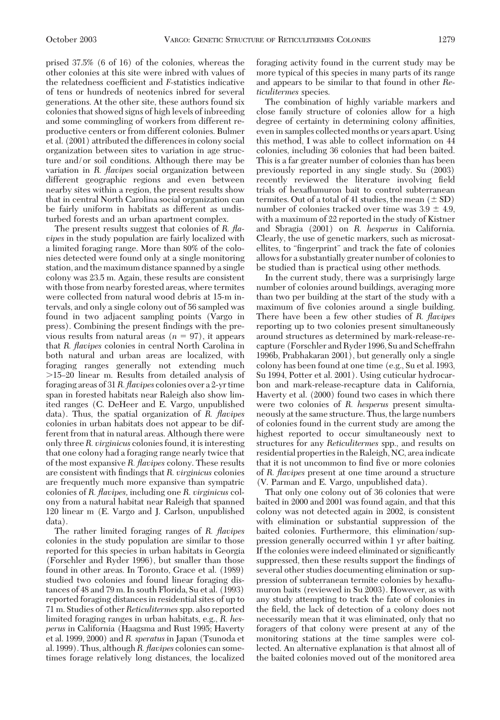prised  $37.5\%$  (6 of 16) of the colonies, whereas the other colonies at this site were inbred with values of the relatedness coefficient and *F*-statistics indicative of tens or hundreds of neotenics inbred for several generations. At the other site, these authors found six colonies that showed signs of high levels of inbreeding and some commingling of workers from different reproductive centers or from different colonies. Bulmer et al. (2001) attributed the differences in colony social organization between sites to variation in age structure and/or soil conditions. Although there may be variation in *R. flavipes* social organization between different geographic regions and even between nearby sites within a region, the present results show that in central North Carolina social organization can be fairly uniform in habitats as different as undisturbed forests and an urban apartment complex.

The present results suggest that colonies of *R. flavipes* in the study population are fairly localized with a limited foraging range. More than 80% of the colonies detected were found only at a single monitoring station, and the maximum distance spanned by a single colony was 23.5 m. Again, these results are consistent with those from nearby forested areas, where termites were collected from natural wood debris at 15-m intervals, and only a single colony out of 56 sampled was found in two adjacent sampling points (Vargo in press). Combining the present findings with the previous results from natural areas  $(n = 97)$ , it appears that *R. flavipes* colonies in central North Carolina in both natural and urban areas are localized, with foraging ranges generally not extending much  $>15-20$  linear m. Results from detailed analysis of foraging areas of 31*R. flavipes* colonies over a 2-yr time span in forested habitats near Raleigh also show limited ranges (C. DeHeer and E. Vargo, unpublished data). Thus, the spatial organization of *R. flavipes* colonies in urban habitats does not appear to be different from that in natural areas. Although there were only three *R. virginicus* colonies found, it is interesting that one colony had a foraging range nearly twice that of the most expansive *R. flavipes* colony. These results are consistent with findings that *R. virginicus* colonies are frequently much more expansive than sympatric colonies of *R. flavipes,* including one *R. virginicus* colony from a natural habitat near Raleigh that spanned 120 linear m (E. Vargo and J. Carlson, unpublished data).

The rather limited foraging ranges of *R. flavipes* colonies in the study population are similar to those reported for this species in urban habitats in Georgia (Forschler and Ryder 1996), but smaller than those found in other areas. In Toronto, Grace et al. (1989) studied two colonies and found linear foraging distances of 48 and 79 m. In south Florida, Su et al. (1993) reported foraging distances in residential sites of up to 71 m. Studies of other*Reticulitermes*spp. also reported limited foraging ranges in urban habitats, e.g., *R. hesperus* in California (Haagsma and Rust 1995; Haverty et al. 1999, 2000) and *R. speratus* in Japan (Tsunoda et al. 1999). Thus, although*R. flavipes* colonies can sometimes forage relatively long distances, the localized foraging activity found in the current study may be more typical of this species in many parts of its range and appears to be similar to that found in other *Reticulitermes* species.

The combination of highly variable markers and close family structure of colonies allow for a high degree of certainty in determining colony affinities, even in samples collected months or years apart. Using this method, I was able to collect information on 44 colonies, including 36 colonies that had been baited. This is a far greater number of colonies than has been previously reported in any single study. Su (2003) recently reviewed the literature involving field trials of hexaßumuron bait to control subterranean termites. Out of a total of 41 studies, the mean  $(\pm SD)$ number of colonies tracked over time was  $3.9 \pm 4.9$ , with a maximum of 22 reported in the study of Kistner and Sbragia (2001) on *R. hesperus* in California. Clearly, the use of genetic markers, such as microsatellites, to "fingerprint" and track the fate of colonies allows for a substantially greater number of colonies to be studied than is practical using other methods.

In the current study, there was a surprisingly large number of colonies around buildings, averaging more than two per building at the start of the study with a maximum of five colonies around a single building. There have been a few other studies of *R. flavipes* reporting up to two colonies present simultaneously around structures as determined by mark-release-recapture (Forschler and Ryder 1996, Su and Scheffrahn 1996b, Prabhakaran 2001), but generally only a single colony has been found at one time (e.g., Su et al. 1993, Su 1994, Potter et al. 2001). Using cuticular hydrocarbon and mark-release-recapture data in California, Haverty et al. (2000) found two cases in which there were two colonies of *R. hesperus* present simultaneously at the same structure. Thus, the large numbers of colonies found in the current study are among the highest reported to occur simultaneously next to structures for any *Reticulitermes* spp., and results on residential properties in the Raleigh, NC, area indicate that it is not uncommon to find five or more colonies of *R. flavipes* present at one time around a structure (V. Parman and E. Vargo, unpublished data).

That only one colony out of 36 colonies that were baited in 2000 and 2001 was found again, and that this colony was not detected again in 2002, is consistent with elimination or substantial suppression of the baited colonies. Furthermore, this elimination/suppression generally occurred within 1 yr after baiting. If the colonies were indeed eliminated or significantly suppressed, then these results support the findings of several other studies documenting elimination or suppression of subterranean termite colonies by hexaßumuron baits (reviewed in Su 2003). However, as with any study attempting to track the fate of colonies in the field, the lack of detection of a colony does not necessarily mean that it was eliminated, only that no foragers of that colony were present at any of the monitoring stations at the time samples were collected. An alternative explanation is that almost all of the baited colonies moved out of the monitored area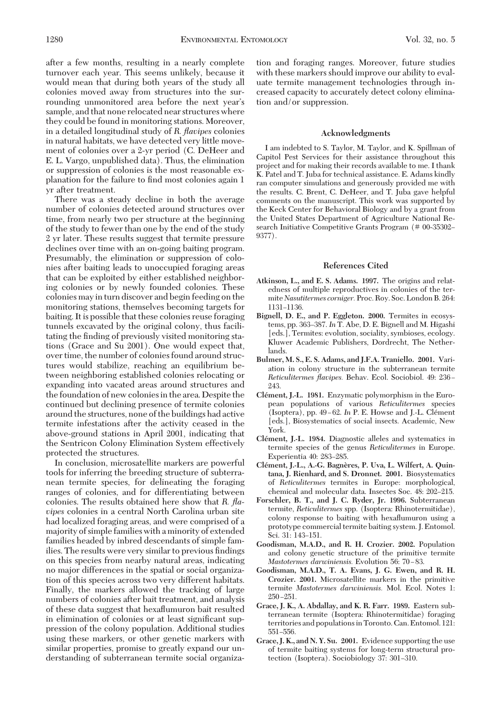after a few months, resulting in a nearly complete turnover each year. This seems unlikely, because it would mean that during both years of the study all colonies moved away from structures into the surrounding unmonitored area before the next year's sample, and that none relocated near structures where they could be found in monitoring stations. Moreover, in a detailed longitudinal study of *R. flavipes* colonies in natural habitats, we have detected very little movement of colonies over a 2-yr period (C. DeHeer and E. L. Vargo, unpublished data). Thus, the elimination or suppression of colonies is the most reasonable explanation for the failure to find most colonies again 1 yr after treatment.

There was a steady decline in both the average number of colonies detected around structures over time, from nearly two per structure at the beginning of the study to fewer than one by the end of the study 2 yr later. These results suggest that termite pressure declines over time with an on-going baiting program. Presumably, the elimination or suppression of colonies after baiting leads to unoccupied foraging areas that can be exploited by either established neighboring colonies or by newly founded colonies. These colonies may in turn discover and begin feeding on the monitoring stations, themselves becoming targets for baiting. It is possible that these colonies reuse foraging tunnels excavated by the original colony, thus facilitating the finding of previously visited monitoring stations (Grace and Su 2001). One would expect that, over time, the number of colonies found around structures would stabilize, reaching an equilibrium between neighboring established colonies relocating or expanding into vacated areas around structures and the foundation of new coloniesin the area. Despite the continued but declining presence of termite colonies around the structures, none of the buildings had active termite infestations after the activity ceased in the above-ground stations in April 2001, indicating that the Sentricon Colony Elimination System effectively protected the structures.

In conclusion, microsatellite markers are powerful tools for inferring the breeding structure of subterranean termite species, for delineating the foraging ranges of colonies, and for differentiating between colonies. The results obtained here show that *R. flavipes* colonies in a central North Carolina urban site had localized foraging areas, and were comprised of a majority of simple families with a minority of extended families headed by inbred descendants of simple families. The results were very similar to previous findings on this species from nearby natural areas, indicating no major differences in the spatial or social organization of this species across two very different habitats. Finally, the markers allowed the tracking of large numbers of colonies after bait treatment, and analysis of these data suggest that hexaßumuron bait resulted in elimination of colonies or at least significant suppression of the colony population. Additional studies using these markers, or other genetic markers with similar properties, promise to greatly expand our understanding of subterranean termite social organization and foraging ranges. Moreover, future studies with these markers should improve our ability to evaluate termite management technologies through increased capacity to accurately detect colony elimination and/or suppression.

#### **Acknowledgments**

I am indebted to S. Taylor, M. Taylor, and K. Spillman of Capitol Pest Services for their assistance throughout this project and for making their records available to me. I thank K. Patel and T. Juba for technical assistance. E. Adams kindly ran computer simulations and generously provided me with the results. C. Brent, C. DeHeer, and T. Juba gave helpful comments on the manuscript. This work was supported by the Keck Center for Behavioral Biology and by a grant from the United States Department of Agriculture National Research Initiative Competitive Grants Program (# 00-35302– 9377).

#### **References Cited**

- **Atkinson, L., and E. S. Adams. 1997.** The origins and relatedness of multiple reproductives in colonies of the termite *Nasutitermes corniger.*Proc. Roy. Soc. London B. 264: 1131–1136.
- **Bignell, D. E., and P. Eggleton. 2000.** Termites in ecosystems, pp. 363–387. In T. Abe, D. E. Bignell and M. Higashi [eds.], Termites: evolution, sociality, symbioses, ecology. Kluwer Academic Publishers, Dordrecht, The Netherlands.
- **Bulmer, M. S., E. S. Adams, and J.F.A. Traniello. 2001.** Variation in colony structure in the subterranean termite *Reticulitermes flavipes.* Behav. Ecol. Sociobiol. 49: 236 -243.
- **Cle´ment, J.-L. 1981.** Enzymatic polymorphism in the European populations of various *Reticulitermes* species (Isoptera), pp. 49-62. *In* P. E. Howse and J.-L. Clément [eds.], Biosystematics of social insects. Academic, New York.
- **Cle´ment, J.-L. 1984.** Diagnostic alleles and systematics in termite species of the genus *Reticulitermes* in Europe. Experientia 40: 283-285.
- Clément, J.-L., A.-G. Bagnères, P. Uva, L. Wilfert, A. Quin**tana, J. Rienhard, and S. Dronnet. 2001.** Biosystematics of *Reticulitermes* termites in Europe: morphological, chemical and molecular data. Insectes Soc. 48: 202-215.
- **Forschler, B. T., and J. C. Ryder, Jr. 1996.** Subterranean termite, *Reticulitermes* spp. (Isoptera: Rhinotermitidae), colony response to baiting with hexaflumuron using a prototype commercial termite baiting system. J. Entomol. Sci. 31: 143-151.
- **Goodisman, M.A.D., and R. H. Crozier. 2002.** Population and colony genetic structure of the primitive termite *Mastotermes darwiniensis.* Evolution 56: 70-83.
- **Goodisman, M.A.D., T. A. Evans, J. G. Ewen, and R. H. Crozier. 2001.** Microsatellite markers in the primitive termite *Mastotermes darwiniensis.* Mol. Ecol. Notes 1:  $250 - 251$ .
- **Grace, J. K., A. Abdallay, and K. R. Farr. 1989.** Eastern subterranean termite (Isoptera: Rhinotermitidae) foraging territories and populationsin Toronto. Can. Entomol. 121: 551-556.
- **Grace, J. K., and N. Y. Su. 2001.** Evidence supporting the use of termite baiting systems for long-term structural protection (Isoptera). Sociobiology 37: 301–310.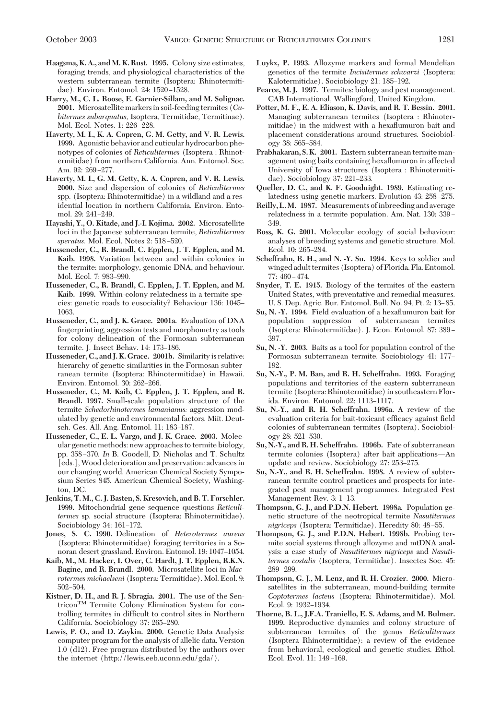- **Haagsma, K. A., and M. K. Rust. 1995.** Colony size estimates, foraging trends, and physiological characteristics of the western subterranean termite (Isoptera: Rhinotermitidae). Environ. Entomol. 24: 1520-1528.
- **Harry, M., C. L. Roose, E. Garnier-Sillam, and M. Solignac. 2001.** Microsatellitemarkersin soil-feeding termites (*Cubitermes subarquatus,* Isoptera, Termitidae, Termitinae). Mol. Ecol. Notes. 1: 226-228.
- **Haverty, M. I., K. A. Copren, G. M. Getty, and V. R. Lewis. 1999.** Agonistic behavior and cuticular hydrocarbon phenotypes of colonies of *Reticulitermes* (Isoptera : Rhinotermitidae) from northern California. Ann. Entomol. Soc. Am. 92: 269-277.
- **Haverty, M. I., G. M. Getty, K. A. Copren, and V. R. Lewis. 2000.** Size and dispersion of colonies of *Reticulitermes* spp. (Isoptera: Rhinotermitidae) in a wildland and a residential location in northern California. Environ. Entomol. 29: 241-249.
- **Hayashi, Y., O. Kitade, and J.-I. Kojima. 2002.** Microsatellite loci in the Japanese subterranean termite, *Reticulitermes* speratus. Mol. Ecol. Notes 2: 518-520.
- **Husseneder, C., R. Brandl, C. Epplen, J. T. Epplen, and M. Kaib. 1998.** Variation between and within colonies in the termite: morphology, genomic DNA, and behaviour. Mol. Ecol. 7: 983-990.
- **Husseneder, C., R. Brandl, C. Epplen, J. T. Epplen, and M. Kaib. 1999.** Within-colony relatedness in a termite species: genetic roads to eusociality? Behaviour 136: 1045– 1063.
- **Husseneder, C., and J. K. Grace. 2001a.** Evaluation of DNA fingerprinting, aggression tests and morphometry as tools for colony delineation of the Formosan subterranean termite. J. Insect Behav. 14: 173-186.
- **Husseneder, C., and J. K. Grace. 2001b.** Similarity is relative: hierarchy of genetic similarities in the Formosan subterranean termite (Isoptera: Rhinotermitidae) in Hawaii. Environ. Entomol. 30: 262-266.
- **Husseneder, C., M. Kaib, C. Epplen, J. T. Epplen, and R. Brandl. 1997.** Small-scale population structure of the termite *Schedorhinotermes lamanianus:* aggression modulated by genetic and environmental factors. Miit. Deutsch. Ges. All. Ang. Entomol. 11: 183-187.
- **Husseneder, C., E. L. Vargo, and J. K. Grace. 2003.** Molecular genetic methods: new approaches to termite biology, pp. 358-370. *In* B. Goodell, D. Nicholas and T. Schultz [eds.],Wood deterioration and preservation: advances in our changing world. American Chemical Society Symposium Series 845. American Chemical Society, Washington, DC.
- **Jenkins, T. M., C. J. Basten, S. Kresovich, and B. T. Forschler. 1999.** Mitochondrial gene sequence questions *Reticulitermes* sp. social structure (Isoptera: Rhinotermitidae). Sociobiology  $34:161-172$ .
- **Jones, S. C. 1990.** Delineation of *Heterotermes aureus* (Isoptera: Rhinotermitidae) foraging territories in a Sonoran desert grassland. Environ. Entomol. 19: 1047–1054.
- **Kaib, M., M. Hacker, I. Over, C. Hardt, J. T. Epplen, R.K.N. Bagine, and R. Brandl. 2000.** Microsatellite loci in *Macrotermes michaelseni* (Isoptera: Termitidae). Mol. Ecol. 9: 502-504.
- **Kistner, D. H., and R. J. Sbragia. 2001.** The use of the Sen- $\operatorname{tricon}^{\operatorname{\mathsf{TM}}}$  Termite Colony Elimination System for controlling termites in difficult to control sites in Northern California. Sociobiology 37: 265-280.
- **Lewis, P. O., and D. Zaykin. 2000.** Genetic Data Analysis: computer program for the analysis of allelic data. Version 1.0 (d12). Free program distributed by the authors over the internet (http://lewis.eeb.uconn.edu/gda/).
- **Luykx, P. 1993.** Allozyme markers and formal Mendelian genetics of the termite *Incisitermes schwarzi* (Isoptera: Kalotermitidae). Sociobiology 21: 185-192.
- **Pearce, M. J. 1997.** Termites: biology and pest management. CAB International, Wallingford, United Kingdom.
- **Potter, M. F., E. A. Eliason, K. Davis, and R. T. Bessin. 2001.** Managing subterranean termites (Isoptera : Rhinotermitidae) in the midwest with a hexaflumuron bait and placement considerations around structures. Sociobiology 38: 565–584.
- **Prabhakaran, S. K. 2001.** Eastern subterranean termite management using baits containing hexaßumuron in affected University of Iowa structures (Isoptera : Rhinotermitidae). Sociobiology 37: 221-233.
- **Queller, D. C., and K. F. Goodnight. 1989.** Estimating relatedness using genetic markers. Evolution 43: 258-275.
- **Reilly, L.M. 1987.** Measurements ofinbreeding and average relatedness in a termite population. Am. Nat. 130: 339-349.
- **Ross, K. G. 2001.** Molecular ecology of social behaviour: analyses of breeding systems and genetic structure. Mol. Ecol. 10: 265-284.
- **Scheffrahn, R. H., and N. -Y. Su. 1994.** Keys to soldier and winged adult termites (Isoptera) of Florida. Fla. Entomol.  $77 \cdot 460 - 474$
- **Snyder, T. E. 1915.** Biology of the termites of the eastern United States, with preventative and remedial measures. U. S. Dep. Agric. Bur. Entomol. Bull. No. 94, Pt. 2: 13-85.
- **Su, N. -Y. 1994.** Field evaluation of a hexaflumuron bait for population suppression of subterranean termites (Isoptera: Rhinotermitidae). J. Econ. Entomol. 87: 389-397.
- **Su, N. -Y. 2003.** Baits as a tool for population control of the Formosan subterranean termite. Sociobiology 41: 177Ð 192.
- **Su, N.-Y., P. M. Ban, and R. H. Scheffrahn. 1993.** Foraging populations and territories of the eastern subterranean termite (Isoptera: Rhinotermitidae) in southeastern Florida. Environ. Entomol. 22: 1113-1117.
- **Su, N.-Y., and R. H. Scheffrahn. 1996a.** A review of the evaluation criteria for bait-toxicant efficacy against field colonies of subterranean termites (Isoptera). Sociobiology 28: 521-530.
- **Su, N.-Y., and R. H. Scheffrahn. 1996b.** Fate of subterranean termite colonies (Isoptera) after bait applications-An update and review. Sociobiology 27: 253-275.
- **Su, N.-Y., and R. H. Scheffrahn. 1998.** A review of subterranean termite control practices and prospects for integrated pest management programmes. Integrated Pest Management Rev. 3: 1-13.
- **Thompson, G. J., and P.D.N. Hebert. 1998a.** Population genetic structure of the neotropical termite *Nasutitermes* nigriceps (Isoptera: Termitidae). Heredity 80: 48-55.
- **Thompson, G. J., and P.D.N. Hebert. 1998b.** Probing termite social systems through allozyme and mtDNA analysis: a case study of *Nasutitermes nigriceps* and *Nasutitermes costalis* (Isoptera, Termitidae). Insectes Soc. 45:  $289 - 299.$
- **Thompson, G. J., M. Lenz, and R. H. Crozier. 2000.** Microsatellites in the subterranean, mound-building termite *Coptotermes lacteus* (Isoptera: Rhinotermitidae). Mol. Ecol. 9: 1932-1934.
- **Thorne, B. L., J.F.A. Traniello, E. S. Adams, and M. Bulmer. 1999.** Reproductive dynamics and colony structure of subterranean termites of the genus *Reticulitermes* (Isoptera Rhinotermitidae): a review of the evidence from behavioral, ecological and genetic studies. Ethol. Ecol. Evol. 11: 149-169.